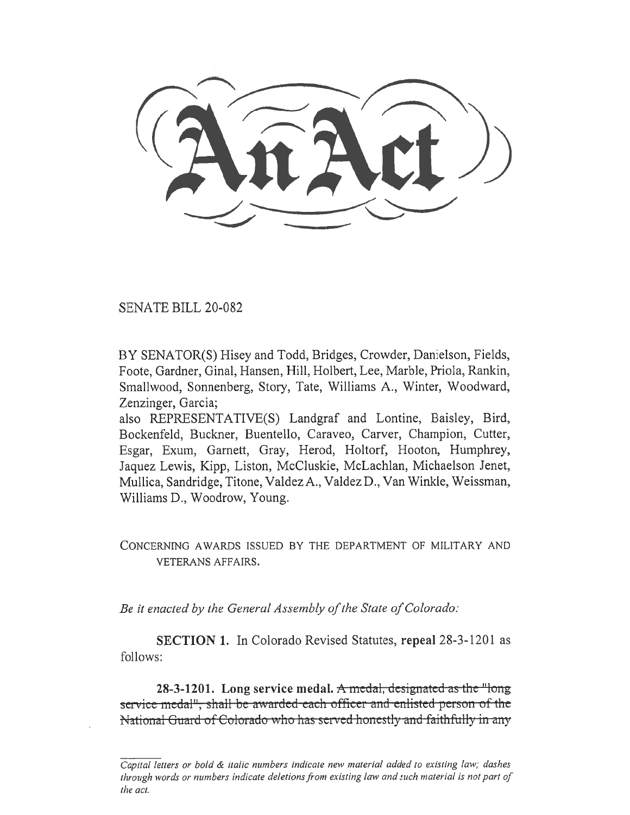SENATE BILL 20-082

BY SENATOR(S) Hisey and Todd, Bridges, Crowder, Danielson, Fields, Foote, Gardner, Ginal, Hansen, Hill, Holbert, Lee, Marble, Priola, Rankin, Smallwood, Sonnenberg, Story, Tate, Williams A., Winter, Woodward, Zenzinger, Garcia;

also REPRESENTATIVE(S) Landgraf and Lontine, Baisley, Bird, Bockenfeld, Buckner, Buentello, Caraveo, Carver, Champion, Cutter, Esgar, Exum, Garnett, Gray, Herod, Holtorf, Hooton, Humphrey, Jaquez Lewis, Kipp, Liston, McCluskie, McLachlan, Michaelson Jenet, Mullica, Sandridge, Titone, Valdez A., Valdez D., Van Winkle, Weissman, Williams D., Woodrow, Young.

CONCERNING AWARDS ISSUED BY THE DEPARTMENT OF MILITARY AND VETERANS AFFAIRS.

*Be it enacted by the General Assembly of the State of Colorado:* 

**SECTION 1.** In Colorado Revised Statutes, **repeal** 28-3-1201 as follows:

**28-3-1201.** Long service medal. A medal, designated as the "long" service medal<sup>11</sup>, shall be awarded-each officer and enlisted person of the National Guard of Colorado who has scrvcd honcstly and faithfully in any

*Capital letters or bold & italic numbers indicate new material added to existing law; dashes through words or numbers indicate deletions from existing law and such material is not part of the act.*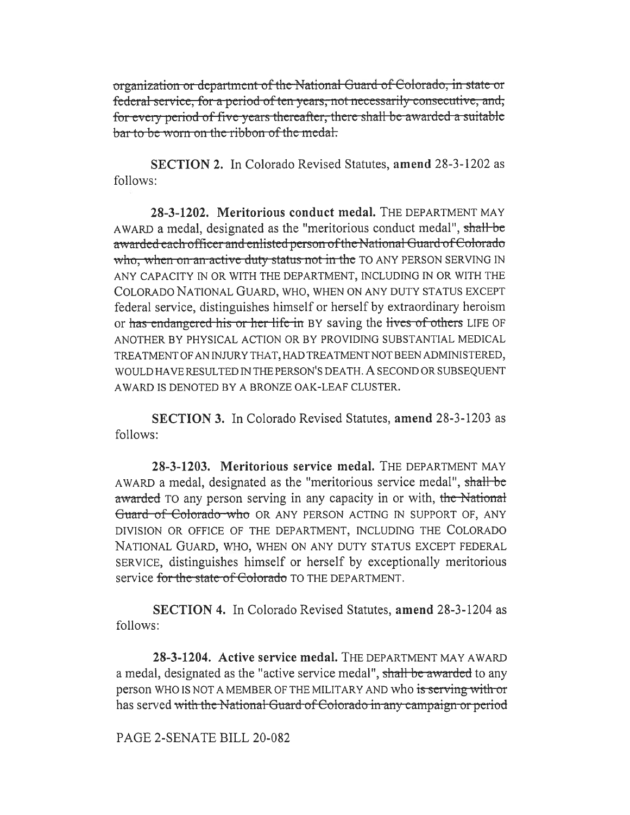organization or department of the National Guard of Colorado, in state or federal service, for a period of ten years, not necessarily consecutive, and, for every period of five years thereafter, there shall be awarded a suitable bar to be worn on the ribbon of the medal.

SECTION 2. In Colorado Revised Statutes, amend 28-3-1202 as follows:

28-3-1202. Meritorious conduct medal. THE DEPARTMENT MAY AWARD a medal, designated as the "meritorious conduct medal", shall be awarded each officer and enlisted person of the National Guard of Colorado who, when on an active duty status not in the TO ANY PERSON SERVING IN ANY CAPACITY IN OR WITH THE DEPARTMENT, INCLUDING IN OR WITH THE COLORADO NATIONAL GUARD, WHO, WHEN ON ANY DUTY STATUS EXCEPT federal service, distinguishes himself or herself by extraordinary heroism or has endangered his or her life in BY saving the lives of others LIFE OF ANOTHER BY PHYSICAL ACTION OR BY PROVIDING SUBSTANTIAL MEDICAL TREATMENT OF AN INJURY THAT, HAD TREATMENT NOT BEEN ADMINISTERED, WOULD HAVE RESULTED IN THE PERSON'S DEATH. A SECOND OR SUBSEQUENT AWARD IS DENOTED BY A BRONZE OAK-LEAF CLUSTER.

**SECTION 3.** In Colorado Revised Statutes, amend 28-3-1203 as follows:

28-3-1203. Meritorious service medal. THE DEPARTMENT MAY AWARD a medal, designated as the "meritorious service medal", shall be awarded TO any person serving in any capacity in or with, the National Guard of Colorado who OR ANY PERSON ACTING IN SUPPORT OF, ANY DIVISION OR OFFICE OF THE DEPARTMENT, INCLUDING THE COLORADO NATIONAL GUARD, WHO, WHEN ON ANY DUTY STATUS EXCEPT FEDERAL SERVICE, distinguishes himself or herself by exceptionally meritorious service for the state of Colorado TO THE DEPARTMENT.

**SECTION 4.** In Colorado Revised Statutes, amend 28-3-1204 as follows:

28-3-1204. Active service medal. THE DEPARTMENT MAY AWARD a medal, designated as the "active service medal", shall be awarded to any person WHO IS NOT A MEMBER OF THE MILITARY AND who is serving with or has served with the National Guard of Colorado in any campaign or period

## PAGE 2-SENATE BILL 20-082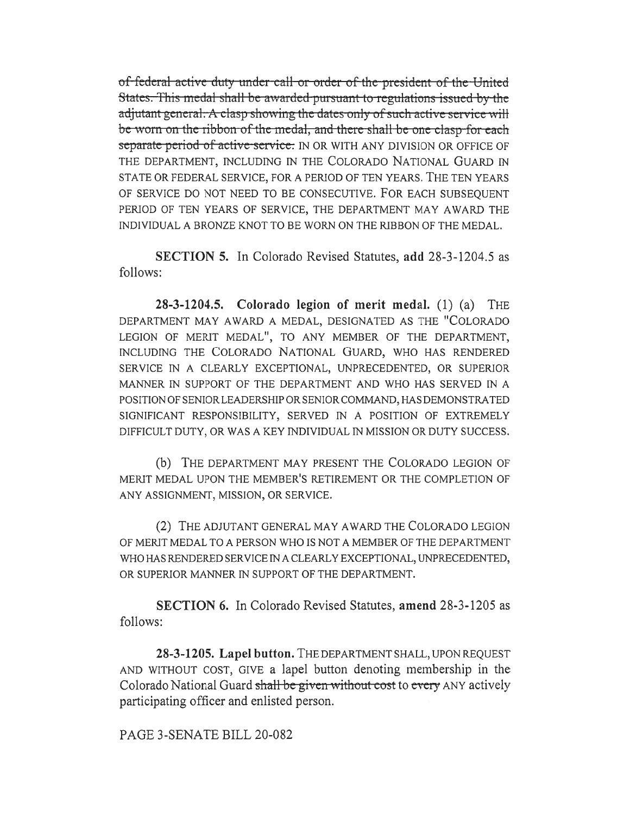of federal active duty under call or order of the president of the United States. This medal shall be awarded pursuant to regulations issued by the adjutant general. A clasp showing the dates only of such active service will be worn on the ribbon of the medal, and there shall be one clasp for each separate period of active service. IN OR WITH ANY DIVISION OR OFFICE OF THE DEPARTMENT, INCLUDING IN THE COLORADO NATIONAL GUARD IN STATE OR FEDERAL SERVICE, FOR A PERIOD OF TEN YEARS. THE TEN YEARS OF SERVICE DO NOT NEED TO BE CONSECUTIVE. FOR EACH SUBSEQUENT PERIOD OF TEN YEARS OF SERVICE, THE DEPARTMENT MAY AWARD THE INDIVIDUAL A BRONZE KNOT TO BE WORN ON THE RIBBON OF THE MEDAL.

**SECTION 5.** In Colorado Revised Statutes, add 28-3-1204.5 as follows:

28-3-1204.5. Colorado legion of merit medal.  $(1)$   $(a)$  THE DEPARTMENT MAY AWARD A MEDAL, DESIGNATED AS THE "COLORADO LEGION OF MERIT MEDAL", TO ANY MEMBER OF THE DEPARTMENT, INCLUDING THE COLORADO NATIONAL GUARD, WHO HAS RENDERED SERVICE IN A CLEARLY EXCEPTIONAL, UNPRECEDENTED, OR SUPERIOR MANNER IN SUPPORT OF THE DEPARTMENT AND WHO HAS SERVED IN A POSITION OF SENIOR LEADERSHIP OR SENIOR COMMAND, HAS DEMONSTRATED SIGNIFICANT RESPONSIBILITY, SERVED IN A POSITION OF EXTREMELY DIFFICULT DUTY, OR WAS A KEY INDIVIDUAL IN MISSION OR DUTY SUCCESS.

(b) THE DEPARTMENT MAY PRESENT THE COLORADO LEGION OF MERIT MEDAL UPON THE MEMBER'S RETIREMENT OR THE COMPLETION OF ANY ASSIGNMENT, MISSION, OR SERVICE.

(2) THE ADJUTANT GENERAL MAY AWARD THE COLORADO LEGION OF MERIT MEDAL TO A PERSON WHO IS NOT A MEMBER OF THE DEPARTMENT WHO HAS RENDERED SERVICE IN A CLEARLY EXCEPTIONAL, UNPRECEDENTED, OR SUPERIOR MANNER IN SUPPORT OF THE DEPARTMENT.

**SECTION 6.** In Colorado Revised Statutes, amend 28-3-1205 as follows:

28-3-1205. Lapel button. THE DEPARTMENT SHALL, UPON REQUEST AND WITHOUT COST, GIVE a lapel button denoting membership in the Colorado National Guard shall be given without cost to every ANY actively participating officer and enlisted person.

PAGE 3-SENATE BILL 20-082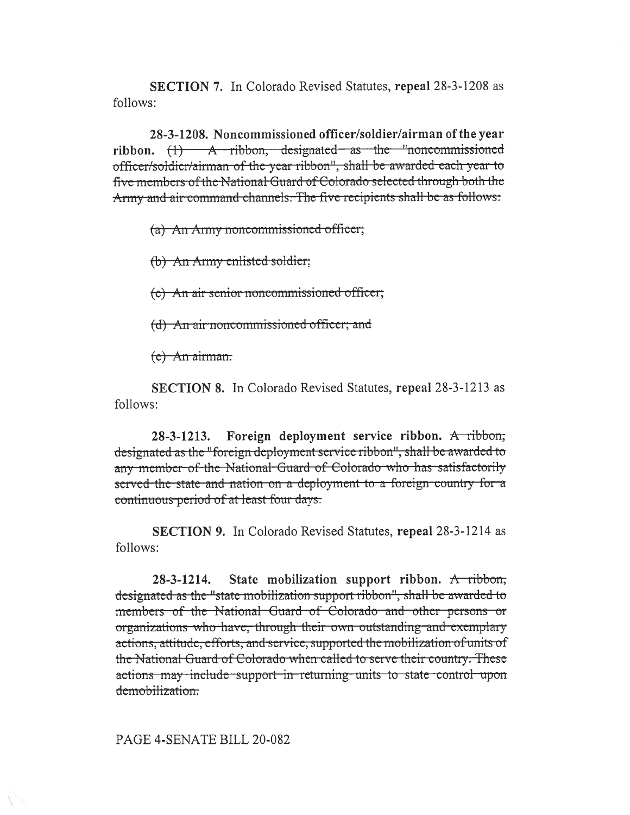**SECTION 7.** In Colorado Revised Statutes, repeal 28-3-1208 as follows:

28-3-1208. Noncommissioned officer/soldier/airman of the year ribbon.  $(1)$  A ribbon, designated as the "noncommissioned officer/soldier/airman of the year ribbon", shall be awarded each year to five members of the National Guard of Colorado selected through both the Army and air command channels. The five recipients shall be as follows:

(a) An Army noncommissioned officer;

(b) An Army enlisted soldier;

(c) An air senior noncommissioned officer;

(d) An air noncommissioned officer; and

 $(e)$  An airman.

**SECTION 8.** In Colorado Revised Statutes, repeal 28-3-1213 as follows:

Foreign deployment service ribbon. A ribbon,  $28 - 3 - 1213.$ designated as the "foreign deployment service ribbon", shall be awarded to any member of the National Guard of Colorado who has satisfactorily served the state and nation on a deployment to a foreign country for a continuous period of at least four days.

**SECTION 9.** In Colorado Revised Statutes, repeal 28-3-1214 as follows:

State mobilization support ribbon.  $A$ -ribbon,  $28 - 3 - 1214.$ designated as the "state mobilization support ribbon", shall be awarded to members of the National Guard of Colorado and other persons or organizations who have, through their own outstanding and exemplary actions, attitude, efforts, and service, supported the mobilization of units of the National Guard of Colorado when called to serve their country. These actions may include support in returning units to state control upon demobilization:

PAGE 4-SENATE BILL 20-082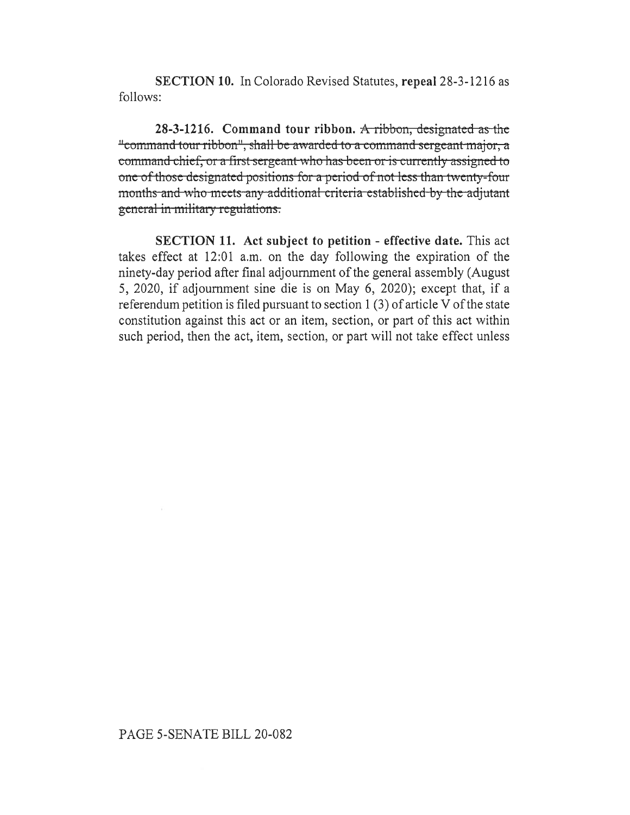SECTION **10.** In Colorado Revised Statutes, repeal 28-3-1216 as follows:

**28-3-1216.** Command tour ribbon. A ribbon, designated as the "command tour ribbon", shall be awarded to a command sergeant major, a command chief, or a first sergeant who has been or is currently assigned to one of those designated positions for a period of not less than twenty-four months-and-who-meets-any-additional-criteria-established-by-the-adjutant general in military regulations.

**SECTION 11. Act subject to petition - effective date.** This act takes effect at 12:01 a.m. on the day following the expiration of the ninety-day period after final adjournment of the general assembly (August 5, 2020, if adjournment sine die is on May 6, 2020); except that, if a referendum petition is filed pursuant to section 1 (3) of article V of the state constitution against this act or an item, section, or part of this act within such period, then the act, item, section, or part will not take effect unless

## PAGE 5-SENATE BILL 20-082